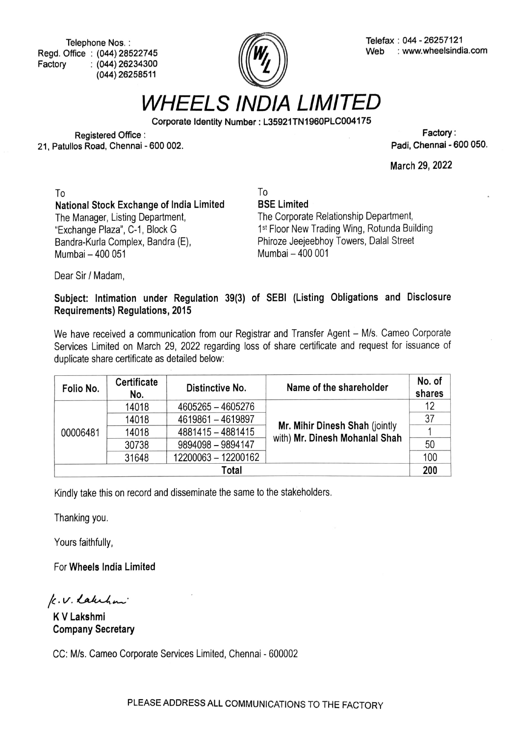Telephone Nos. Regd. Office: (044) 28522745 Factory (044) 26234300 (044) 26258511



Telefax: 044 - 26257121 Web : www.wheelsindia.com

WHEELS INDIA LIMITED

Corporate ldentity Number: L35921TN1960PLCO04175

Registered Office: Factory 21, Patullos Road, Chennai - 600 002.

March 29, 2022

To To National Stock Exchange of India Limited The Manager, Listing Department, "Exchange Plaza", C-1, Block G Bandra-Kurla Complex, Bandra (E), Mumbai-400 051

BSE Limited

The Corporate Relationship Department, 1st Floor New Trading Wing, Rotunda Building Phiroze Jeejeebhoy Towers, Dalal Street Mumbai-400 001

Dear Sir / Madam,

Subject: Intimation under Regulation 39(3) of SEBI (Listing Obligations and Disclosure Requirements) Regulations, 2015

We have received a communication from our Registrar and Transfer Agent - M/s. Cameo Corporate Services Limited on March 29, 2022 regarding loss of share certificate and request for issuance of duplicate share certificate as detailed below

| Folio No. | Certificate<br>No. | Distinctive No.     | Name of the shareholder                                          | No. of<br>shares |  |  |  |
|-----------|--------------------|---------------------|------------------------------------------------------------------|------------------|--|--|--|
| 00006481  | 14018              | 4605265 - 4605276   |                                                                  | 12               |  |  |  |
|           | 14018              | 4619861 - 4619897   |                                                                  | 37               |  |  |  |
|           | 14018              | 4881415 - 4881415   | Mr. Mihir Dinesh Shah (jointly<br>with) Mr. Dinesh Mohanlal Shah |                  |  |  |  |
|           | 30738              | 9894098 - 9894147   |                                                                  | 50               |  |  |  |
|           | 31648              | 12200063 - 12200162 |                                                                  | 100              |  |  |  |
| Total     |                    |                     |                                                                  |                  |  |  |  |

Kindly take this on record and disseminate the same to the stakeholders.

Thanking you.

Yours faithfully,

For Wheels India Limited

k.V. Lakehan

KV Lakshmi Company Secretary

CC: M/s. Cameo Corporate Services Limited, Chennai - 600002